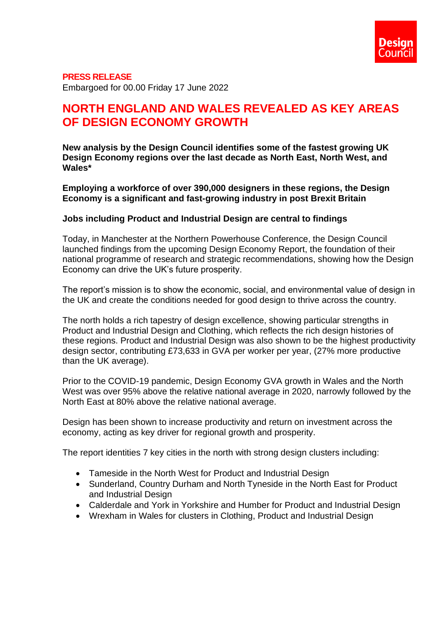### **PRESS RELEASE**

Embargoed for 00.00 Friday 17 June 2022

# **NORTH ENGLAND AND WALES REVEALED AS KEY AREAS OF DESIGN ECONOMY GROWTH**

**New analysis by the Design Council identifies some of the fastest growing UK Design Economy regions over the last decade as North East, North West, and Wales\*** 

**Employing a workforce of over 390,000 designers in these regions, the Design Economy is a significant and fast-growing industry in post Brexit Britain**

### **Jobs including Product and Industrial Design are central to findings**

Today, in Manchester at the Northern Powerhouse Conference, the Design Council launched findings from the upcoming Design Economy Report, the foundation of their national programme of research and strategic recommendations, showing how the Design Economy can drive the UK's future prosperity.

The report's mission is to show the economic, social, and environmental value of design in the UK and create the conditions needed for good design to thrive across the country.

The north holds a rich tapestry of design excellence, showing particular strengths in Product and Industrial Design and Clothing, which reflects the rich design histories of these regions. Product and Industrial Design was also shown to be the highest productivity design sector, contributing £73,633 in GVA per worker per year, (27% more productive than the UK average).

Prior to the COVID-19 pandemic, Design Economy GVA growth in Wales and the North West was over 95% above the relative national average in 2020, narrowly followed by the North East at 80% above the relative national average.

Design has been shown to increase productivity and return on investment across the economy, acting as key driver for regional growth and prosperity.

The report identities 7 key cities in the north with strong design clusters including:

- Tameside in the North West for Product and Industrial Design
- Sunderland, Country Durham and North Tyneside in the North East for Product and Industrial Design
- Calderdale and York in Yorkshire and Humber for Product and Industrial Design
- Wrexham in Wales for clusters in Clothing, Product and Industrial Design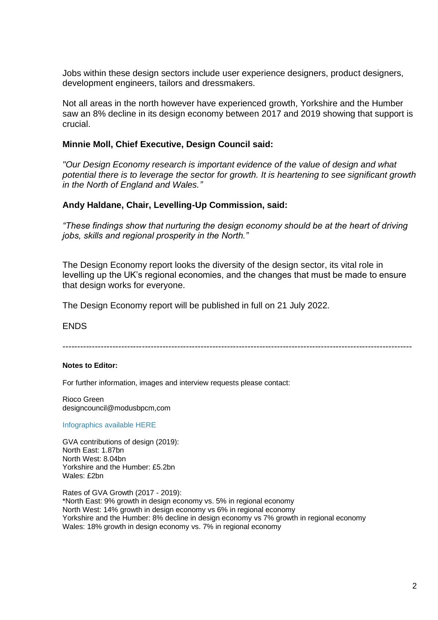Jobs within these design sectors include user experience designers, product designers, development engineers, tailors and dressmakers.

Not all areas in the north however have experienced growth, Yorkshire and the Humber saw an 8% decline in its design economy between 2017 and 2019 showing that support is crucial.

## **Minnie Moll, Chief Executive, Design Council said:**

*"Our Design Economy research is important evidence of the value of design and what potential there is to leverage the sector for growth. It is heartening to see significant growth in the North of England and Wales."*

## **Andy Haldane, Chair, Levelling-Up Commission, said:**

*"These findings show that nurturing the design economy should be at the heart of driving jobs, skills and regional prosperity in the North."*

The Design Economy report looks the diversity of the design sector, its vital role in levelling up the UK's regional economies, and the changes that must be made to ensure that design works for everyone.

The Design Economy report will be published in full on 21 July 2022.

**ENDS** 

-----------------------------------------------------------------------------------------------------------------------

#### **Notes to Editor:**

For further information, images and interview requests please contact:

Rioco Green designcouncil@modusbpcm,com

[Infographics available HERE](https://designcouncil.egnyte.com/fl/6OlPtBK1As#folder-link/Design%20Economy%20Northern%20Powerhouse%2022/Landscape)

GVA contributions of design (2019): North East: 1.87bn North West: 8.04bn Yorkshire and the Humber: £5.2bn Wales: £2bn

Rates of GVA Growth (2017 - 2019): \*North East: 9% growth in design economy vs. 5% in regional economy North West: 14% growth in design economy vs 6% in regional economy Yorkshire and the Humber: 8% decline in design economy vs 7% growth in regional economy Wales: 18% growth in design economy vs. 7% in regional economy